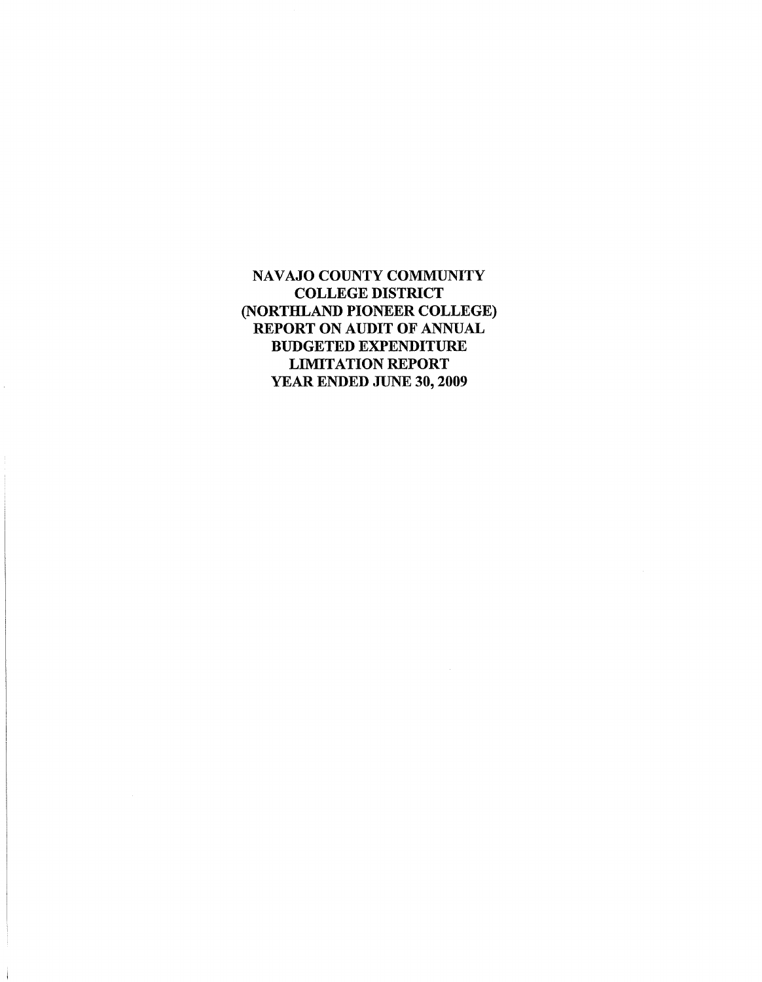NAVAJO COUNTY COMMUNITY COLLEGE DISTRICT (NORTHLAND PIONEER COLLEGE) REPORT ON AUDIT OF ANNUAL BUDGETED EXPENDITURE LIMITATION REPORT YEAR ENDED JUNE 30, 2009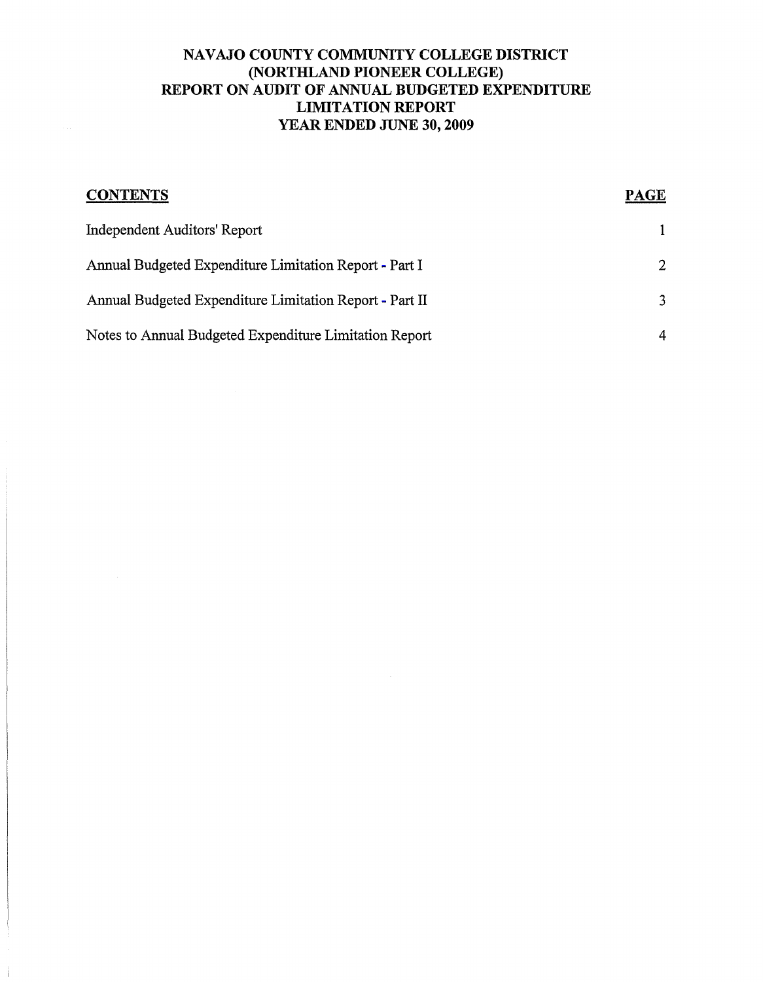# NAVAJO COUNTY COMMUNITY COLLEGE DISTRICT (NORTHLAND PIONEER COLLEGE) REPORT ON AUDIT OF ANNUAL BUDGETED EXPENDITURE LIMITATION REPORT YEAR ENDED JUNE 30, 2009

| <b>CONTENTS</b>                                         | <b>PAGE</b>   |
|---------------------------------------------------------|---------------|
| Independent Auditors' Report                            |               |
| Annual Budgeted Expenditure Limitation Report - Part I  | 2             |
| Annual Budgeted Expenditure Limitation Report - Part II | $\mathcal{R}$ |
| Notes to Annual Budgeted Expenditure Limitation Report  | 4             |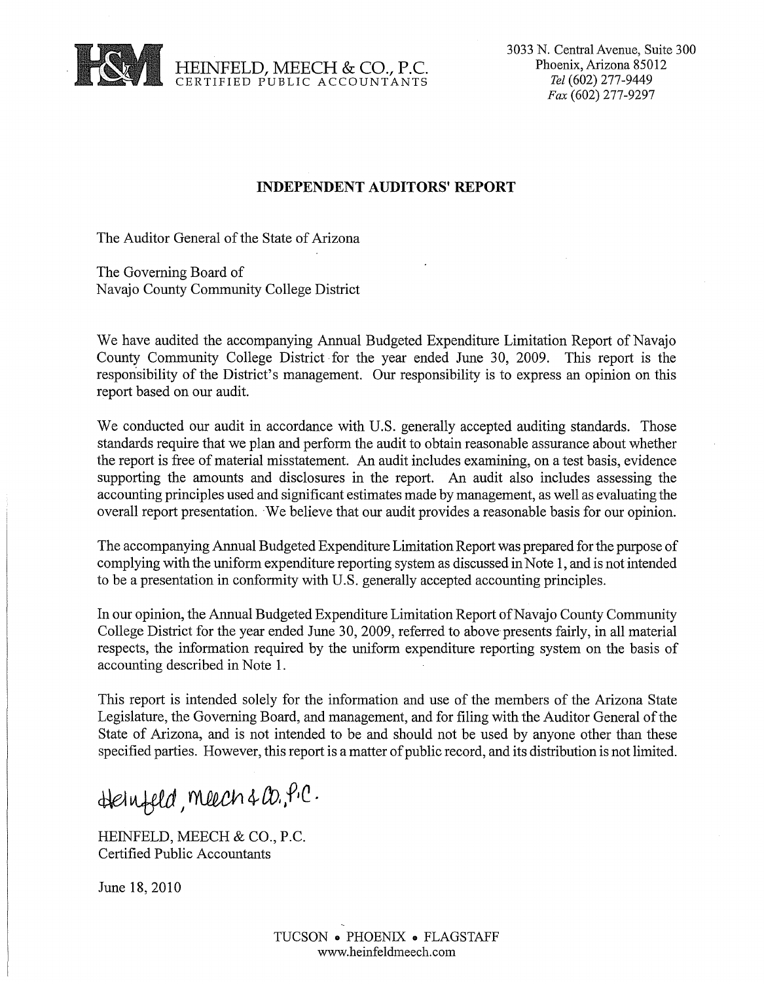

3033 N. Central Avenue, Suite 300 Phoenix, Arizona 85012 *Tel* (602) 277-9449 *Fax* (602) 277-9297

#### **INDEPENDENT AUDITORS' REPORT**

The Auditor General of the State of Arizona

The Governing Board of Navajo County Community College District

We have audited the accompanying Annual Budgeted Expenditure Limitation Report of Navajo County Community College District for the year ended June 30, 2009. This report is the responsibility of the District's management. Our responsibility is to express an opinion on this report based on our audit.

We conducted our audit in accordance with U.S. generally accepted auditing standards. Those standards require that we plan and perform the audit to obtain reasonable assurance about whether the report is free of material misstatement. An audit includes examining, on a test basis, evidence supporting the amounts and disclosures in the report. An audit also includes assessing the accounting principles used and significant estimates made by management, as well as evaluating the overall report presentation. . We believe that our audit provides a reasonable basis for our opinion.

The accompanying Annual Budgeted Expenditure Limitation Report was prepared for the purpose of complying with the uniform expenditure reporting system as discussed in Note 1, and is not intended to be a presentation in conformity with U.S. generally accepted accounting principles.

In our opinion, the Annual Budgeted Expenditure Limitation Report of Navajo County Community College District for the year ended June 30, 2009, referred to above presents fairly, in all material respects, the information required by the uniform expenditure reporting system on the basis of accounting described in Note 1.

This report is intended solely for the information and use of the members of the Arizona State Legislature, the Governing Board, and management, and for filing with the Auditor General of the State of Arizona, and is not intended to be and should not be used by anyone other than these specified parties. However, this report is a matter of public record, and its distribution is not limited.

Heinfeld, meech & Co., P.C.

HEINFELD, MEECH & CO., P.C. Certified Public Accountants

June 18,2010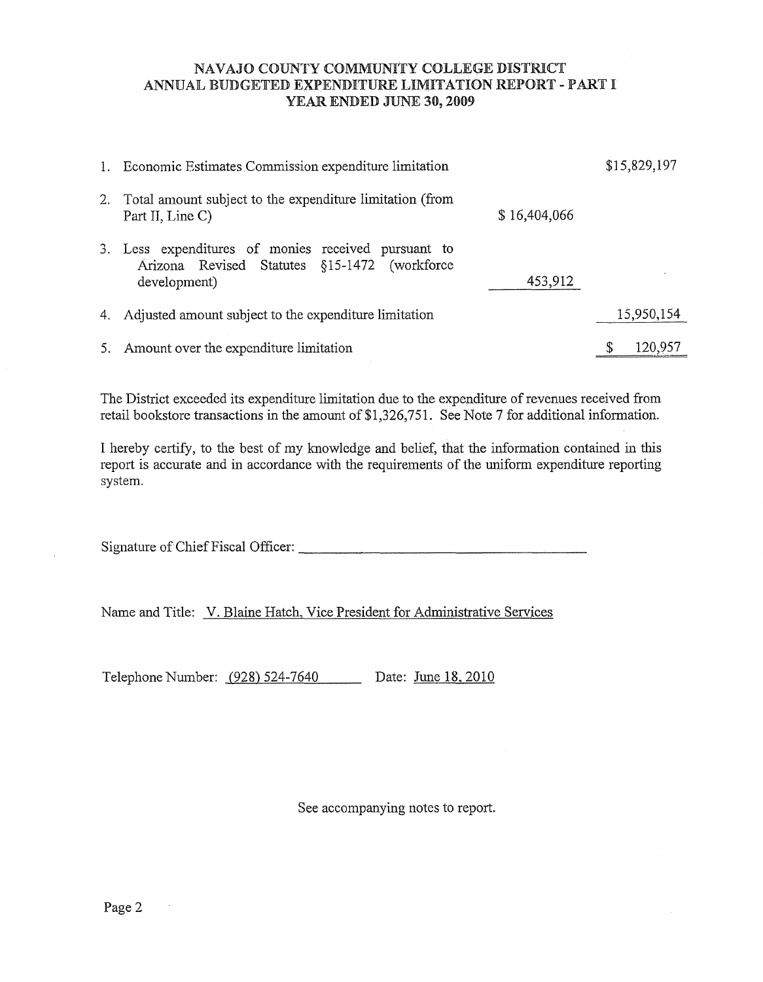#### <span id="page-3-0"></span>NAVAJO COUNTY COMMUNITY COLLEGE DISTRICT ANNUAL BUDGETED EXPENDITURE LIMITATION REPORT - PART I YEAR ENDED JUNE 30, 2009

|    | 1. Economic Estimates Commission expenditure limitation                                                                        |   | \$15,829,197 |
|----|--------------------------------------------------------------------------------------------------------------------------------|---|--------------|
|    | 2. Total amount subject to the expenditure limitation (from<br>\$16,404,066<br>Part II, Line C)                                |   |              |
|    | 3. Less expenditures of monies received pursuant to<br>Arizona Revised Statutes §15-1472 (workforce<br>453,912<br>development) |   |              |
| 4. | Adjusted amount subject to the expenditure limitation                                                                          |   | 15,950,154   |
| 5. | Amount over the expenditure limitation                                                                                         | S | 120,957      |

The District exceeded its expenditure limitation due to the expenditure of revenues received from retail bookstore transactions in the amount of \$1,326,751. See Note 7 for additional information.

I hereby certify, to the best of my knowledge and belief, that the information contained in this report is accurate and in accordance with the requirements of the muform expenditme reporting system.

,41' ' d <sup>~</sup>Signature of Chief Fiscal Officer: \_\_ V\_ ~;-il~'---'''''''<-'·~-''-(,{,~<P\_'---,~,-, ,.;.,:t(=ilJ",-L.--,~ f=~-\_\_\_\_\_\_\_ \_

Name and Title: V. Blaine Hatch, Vice President for Administrative Services

Telephone Number: (928) 524-7640 Date: June 18, 2010

See accompanying notes to report.

 $\sim 10^6$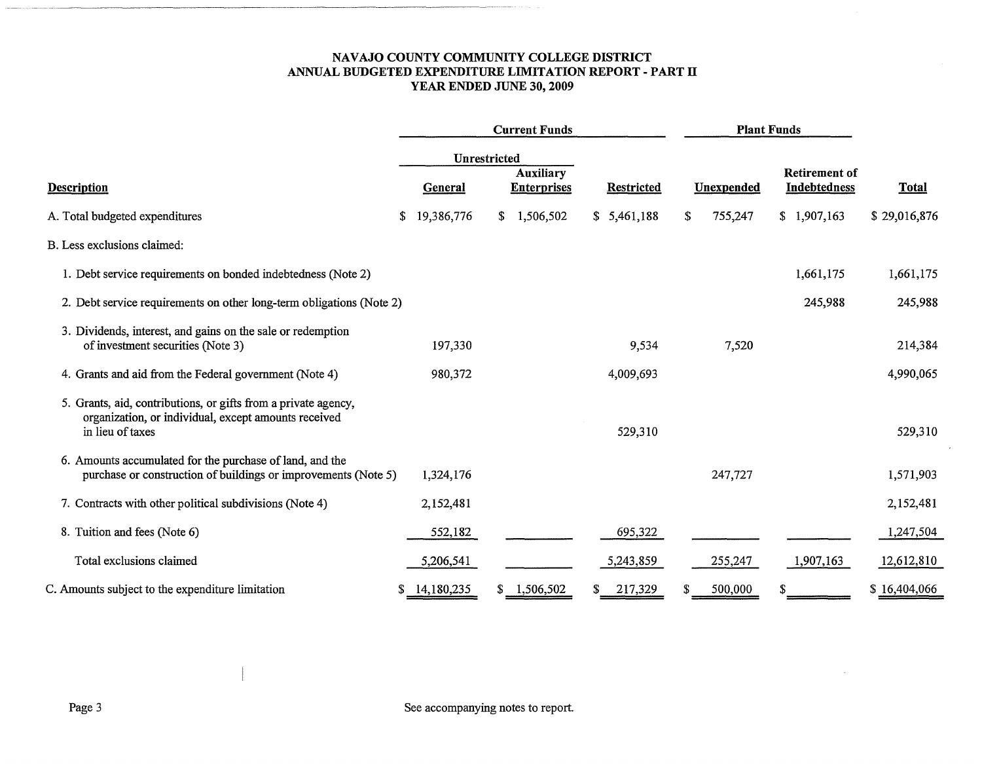#### **NAVAJO COUNTY COMMUNITY COLLEGE DISTRICT ANNUAL BUDGETED EXPENDITURE LIMITATION REPORT - PART II YEAR ENDED JUNE 30, 2009**

<span id="page-4-0"></span>

|                                                                                                                                            | <b>Current Funds</b> |                                        |                   | <b>Plant Funds</b> |                                             |              |  |
|--------------------------------------------------------------------------------------------------------------------------------------------|----------------------|----------------------------------------|-------------------|--------------------|---------------------------------------------|--------------|--|
|                                                                                                                                            | Unrestricted         |                                        |                   |                    |                                             |              |  |
| <b>Description</b>                                                                                                                         | General              | <b>Auxiliary</b><br><b>Enterprises</b> | <b>Restricted</b> | Unexpended         | <b>Retirement of</b><br><b>Indebtedness</b> | <b>Total</b> |  |
| A. Total budgeted expenditures                                                                                                             | \$<br>19,386,776     | 1,506,502<br>S.                        | \$5,461,188       | \$<br>755,247      | \$1,907,163                                 | \$29,016,876 |  |
| B. Less exclusions claimed:                                                                                                                |                      |                                        |                   |                    |                                             |              |  |
| 1. Debt service requirements on bonded indebtedness (Note 2)                                                                               |                      |                                        |                   |                    | 1,661,175                                   | 1,661,175    |  |
| 2. Debt service requirements on other long-term obligations (Note 2)                                                                       |                      |                                        |                   |                    | 245,988                                     | 245,988      |  |
| 3. Dividends, interest, and gains on the sale or redemption<br>of investment securities (Note 3)                                           | 197,330              |                                        | 9,534             | 7,520              |                                             | 214,384      |  |
| 4. Grants and aid from the Federal government (Note 4)                                                                                     | 980,372              |                                        | 4,009,693         |                    |                                             | 4,990,065    |  |
| 5. Grants, aid, contributions, or gifts from a private agency,<br>organization, or individual, except amounts received<br>in lieu of taxes |                      |                                        | 529,310           |                    |                                             | 529,310      |  |
| 6. Amounts accumulated for the purchase of land, and the<br>purchase or construction of buildings or improvements (Note 5)                 | 1,324,176            |                                        |                   | 247,727            |                                             | 1,571,903    |  |
| 7. Contracts with other political subdivisions (Note 4)                                                                                    | 2,152,481            |                                        |                   |                    |                                             | 2,152,481    |  |
| 8. Tuition and fees (Note 6)                                                                                                               | 552,182              |                                        | 695,322           |                    |                                             | 1,247,504    |  |
| Total exclusions claimed                                                                                                                   | 5,206,541            |                                        | 5,243,859         | 255,247            | 1,907,163                                   | 12,612,810   |  |
| C. Amounts subject to the expenditure limitation                                                                                           | 14,180,235<br>S.     | 1,506,502                              | 217,329           | 500,000            |                                             | \$16,404,066 |  |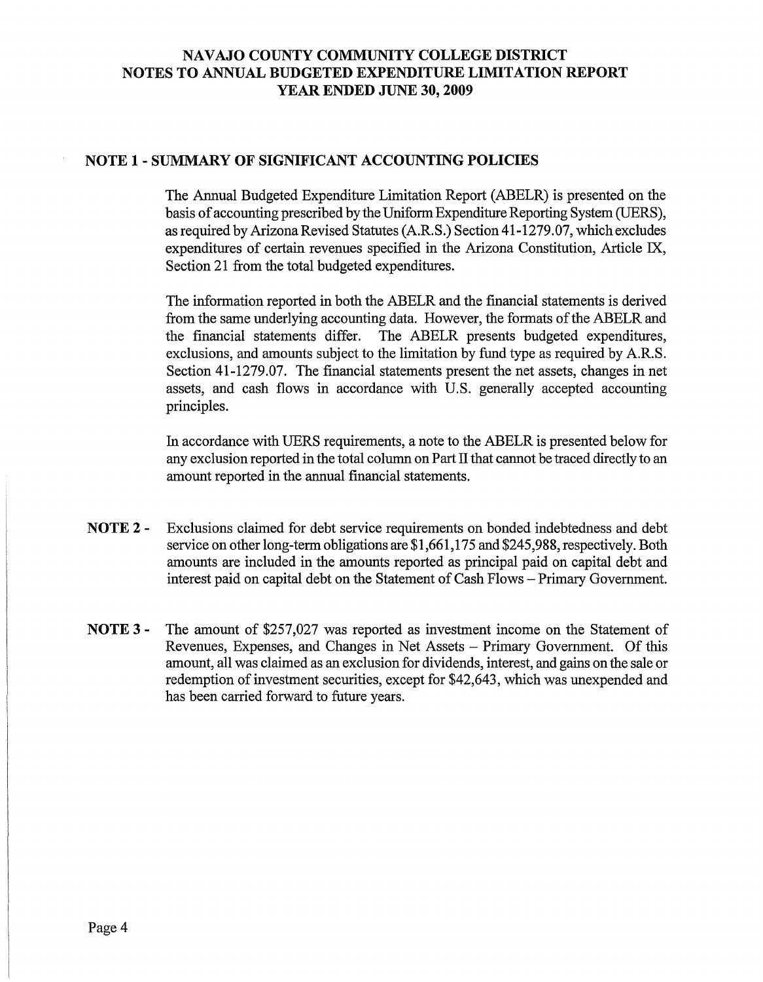## NAVAJO COUNTY COMMUNITY COLLEGE DISTRICT NOTES TO ANNUAL BUDGETED EXPENDITURE LIMITATION REPORT YEAR ENDED JUNE 30, 2009

#### NOTE 1 - SUMMARY OF SIGNIFICANT ACCOUNTING POLICIES

The Annual Budgeted Expenditure Limitation Report (ABELR) is presented on the basis of accounting prescribed by the Uniform Expenditure Reporting System (UERS), as required by Arizona Revised Statutes (A.R. S.) Section 41-1279.07, which excludes expenditures of certain revenues specified in the Arizona Constitution, Article IX, Section 21 from the total budgeted expenditures.

The information reported in both the ABELR and the financial statements is derived from the same underlying accounting data. However, the formats of the ABELR and the financial statements differ. The ABELR presents budgeted expenditures, The ABELR presents budgeted expenditures, exclusions, and amounts subject to the limitation by fund type as required by A.R.S. Section 41-1279.07. The financial statements present the net assets, changes in net assets, and cash flows in accordance with U.S. generally accepted accounting principles.

In accordance with UERS requirements, a note to the ABELR is presented below for any exclusion reported in the total column on Part II that cannot be traced directly to an amount reported in the annual financial statements.

- NOTE 2 Exclusions claimed for debt service requirements on bonded indebtedness and debt service on other long-term obligations are \$1,661,175 and \$245,988, respectively. Both amounts are included in the amounts reported as principal paid on capital debt and interest paid on capital debt on the Statement of Cash Flows - Primary Government.
- NOTE 3 The amount of \$257,027 was reported as investment income on the Statement of Revenues, Expenses, and Changes in Net Assets - Primary Government. Of this amount, all was claimed as an exclusion for dividends, interest, and gains on the sale or redemption of investment securities, except for \$42,643, which was unexpended and has been carried forward to future years.